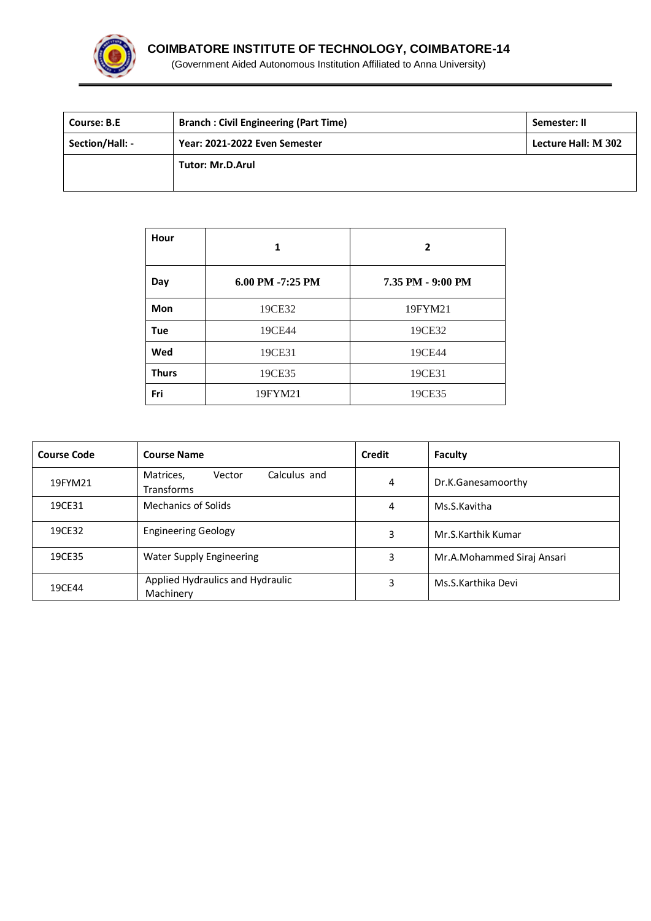

| <b>Course: B.E</b> | <b>Branch: Civil Engineering (Part Time)</b> | Semester: II        |
|--------------------|----------------------------------------------|---------------------|
| Section/Hall: -    | Year: 2021-2022 Even Semester                | Lecture Hall: M 302 |
|                    | <b>Tutor: Mr.D.Arul</b>                      |                     |
|                    |                                              |                     |

| Hour         | 1                | $\mathbf{2}$      |
|--------------|------------------|-------------------|
| Day          | 6.00 PM -7:25 PM | 7.35 PM - 9:00 PM |
| Mon          | 19CE32           | 19FYM21           |
| <b>Tue</b>   | 19CE44           | 19CE32            |
| Wed          | 19CE31           | 19CE44            |
| <b>Thurs</b> | 19CE35           | 19CE31            |
| Fri          | 19FYM21          | 19CE35            |

| <b>Course Code</b> | <b>Course Name</b>                                       | Credit | Faculty                    |
|--------------------|----------------------------------------------------------|--------|----------------------------|
| 19FYM21            | Calculus and<br>Matrices,<br>Vector<br><b>Transforms</b> | 4      | Dr.K.Ganesamoorthy         |
| 19CE31             | Mechanics of Solids                                      | 4      | Ms.S.Kavitha               |
| 19CE32             | <b>Engineering Geology</b>                               | 3      | Mr.S.Karthik Kumar         |
| 19CE35             | <b>Water Supply Engineering</b>                          | 3      | Mr.A.Mohammed Siraj Ansari |
| 19CE44             | Applied Hydraulics and Hydraulic<br>Machinery            | 3      | Ms.S.Karthika Devi         |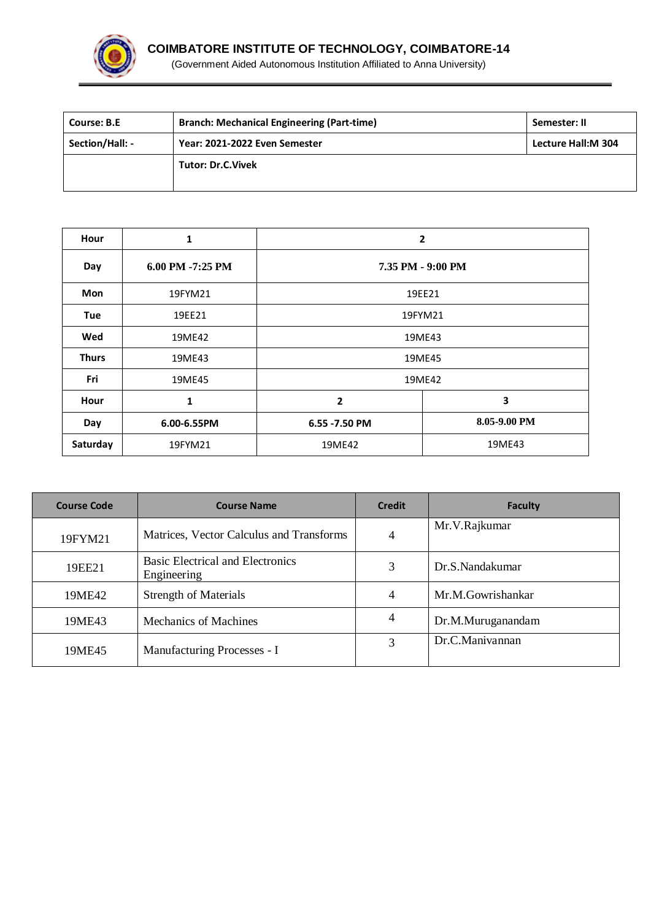

| <b>Course: B.E</b> | <b>Branch: Mechanical Engineering (Part-time)</b> | Semester: II       |
|--------------------|---------------------------------------------------|--------------------|
| Section/Hall: -    | Year: 2021-2022 Even Semester                     | Lecture Hall:M 304 |
|                    | <b>Tutor: Dr.C.Vivek</b>                          |                    |
|                    |                                                   |                    |

| Hour         | 1                | 2                 |              |
|--------------|------------------|-------------------|--------------|
| Day          | 6.00 PM -7:25 PM | 7.35 PM - 9:00 PM |              |
| <b>Mon</b>   | 19FYM21          | 19EE21            |              |
| <b>Tue</b>   | 19EE21           | 19FYM21           |              |
| Wed          | 19ME42           | 19ME43            |              |
| <b>Thurs</b> | 19ME43           | 19ME45            |              |
| Fri          | 19ME45           | 19ME42            |              |
| Hour         | 1                | 2                 | 3            |
| Day          | 6.00-6.55PM      | 6.55 - 7.50 PM    | 8.05-9.00 PM |
| Saturday     | 19FYM21          | 19ME42            | 19ME43       |

| <b>Course Code</b> | <b>Course Name</b>                                     | <b>Credit</b> | Faculty           |
|--------------------|--------------------------------------------------------|---------------|-------------------|
| 19FYM21            | Matrices, Vector Calculus and Transforms               | 4             | Mr.V.Rajkumar     |
| 19EE21             | <b>Basic Electrical and Electronics</b><br>Engineering | 3             | Dr.S.Nandakumar   |
| 19ME42             | <b>Strength of Materials</b>                           | 4             | Mr.M.Gowrishankar |
| 19ME43             | <b>Mechanics of Machines</b>                           | 4             | Dr.M.Muruganandam |
| 19ME45             | Manufacturing Processes - I                            | 3             | Dr.C.Manivannan   |